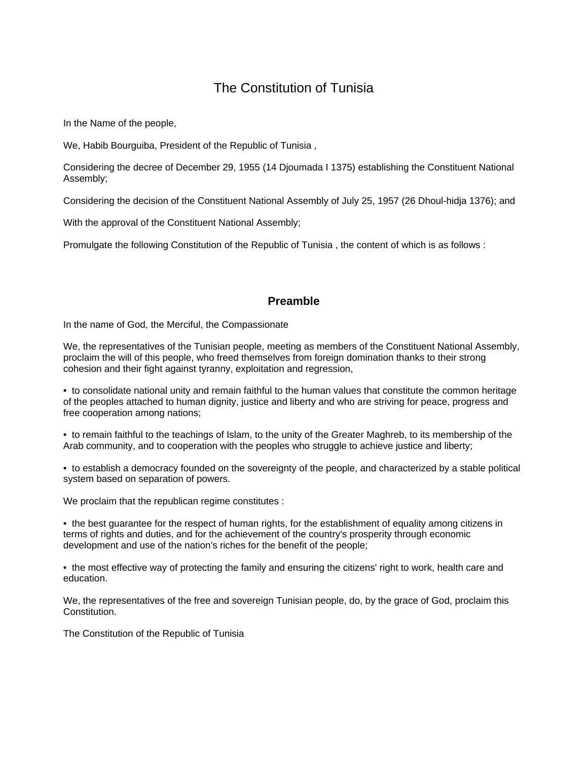# The Constitution of Tunisia

In the Name of the people,

We, Habib Bourguiba, President of the Republic of Tunisia ,

Considering the decree of December 29, 1955 (14 Djoumada I 1375) establishing the Constituent National Assembly;

Considering the decision of the Constituent National Assembly of July 25, 1957 (26 Dhoul-hidja 1376); and

With the approval of the Constituent National Assembly;

Promulgate the following Constitution of the Republic of Tunisia , the content of which is as follows :

## **Preamble**

In the name of God, the Merciful, the Compassionate

We, the representatives of the Tunisian people, meeting as members of the Constituent National Assembly, proclaim the will of this people, who freed themselves from foreign domination thanks to their strong cohesion and their fight against tyranny, exploitation and regression,

• to consolidate national unity and remain faithful to the human values that constitute the common heritage of the peoples attached to human dignity, justice and liberty and who are striving for peace, progress and free cooperation among nations;

• to remain faithful to the teachings of Islam, to the unity of the Greater Maghreb, to its membership of the Arab community, and to cooperation with the peoples who struggle to achieve justice and liberty;

• to establish a democracy founded on the sovereignty of the people, and characterized by a stable political system based on separation of powers.

We proclaim that the republican regime constitutes :

• the best guarantee for the respect of human rights, for the establishment of equality among citizens in terms of rights and duties, and for the achievement of the country's prosperity through economic development and use of the nation's riches for the benefit of the people;

• the most effective way of protecting the family and ensuring the citizens' right to work, health care and education.

We, the representatives of the free and sovereign Tunisian people, do, by the grace of God, proclaim this Constitution.

The Constitution of the Republic of Tunisia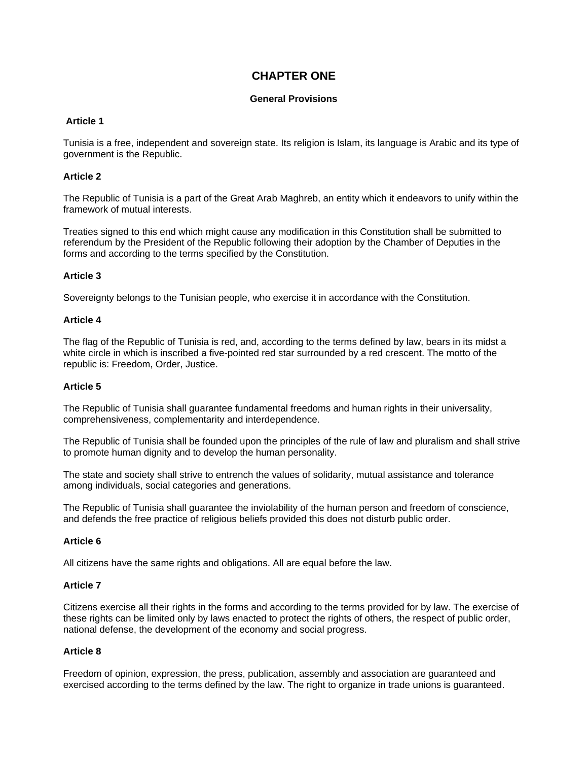# **CHAPTER ONE**

## **General Provisions**

## **Article 1**

Tunisia is a free, independent and sovereign state. Its religion is Islam, its language is Arabic and its type of government is the Republic.

## **Article 2**

The Republic of Tunisia is a part of the Great Arab Maghreb, an entity which it endeavors to unify within the framework of mutual interests.

Treaties signed to this end which might cause any modification in this Constitution shall be submitted to referendum by the President of the Republic following their adoption by the Chamber of Deputies in the forms and according to the terms specified by the Constitution.

## **Article 3**

Sovereignty belongs to the Tunisian people, who exercise it in accordance with the Constitution.

## **Article 4**

The flag of the Republic of Tunisia is red, and, according to the terms defined by law, bears in its midst a white circle in which is inscribed a five-pointed red star surrounded by a red crescent. The motto of the republic is: Freedom, Order, Justice.

## **Article 5**

The Republic of Tunisia shall guarantee fundamental freedoms and human rights in their universality, comprehensiveness, complementarity and interdependence.

The Republic of Tunisia shall be founded upon the principles of the rule of law and pluralism and shall strive to promote human dignity and to develop the human personality.

The state and society shall strive to entrench the values of solidarity, mutual assistance and tolerance among individuals, social categories and generations.

The Republic of Tunisia shall guarantee the inviolability of the human person and freedom of conscience, and defends the free practice of religious beliefs provided this does not disturb public order.

## **Article 6**

All citizens have the same rights and obligations. All are equal before the law.

## **Article 7**

Citizens exercise all their rights in the forms and according to the terms provided for by law. The exercise of these rights can be limited only by laws enacted to protect the rights of others, the respect of public order, national defense, the development of the economy and social progress.

## **Article 8**

Freedom of opinion, expression, the press, publication, assembly and association are guaranteed and exercised according to the terms defined by the law. The right to organize in trade unions is guaranteed.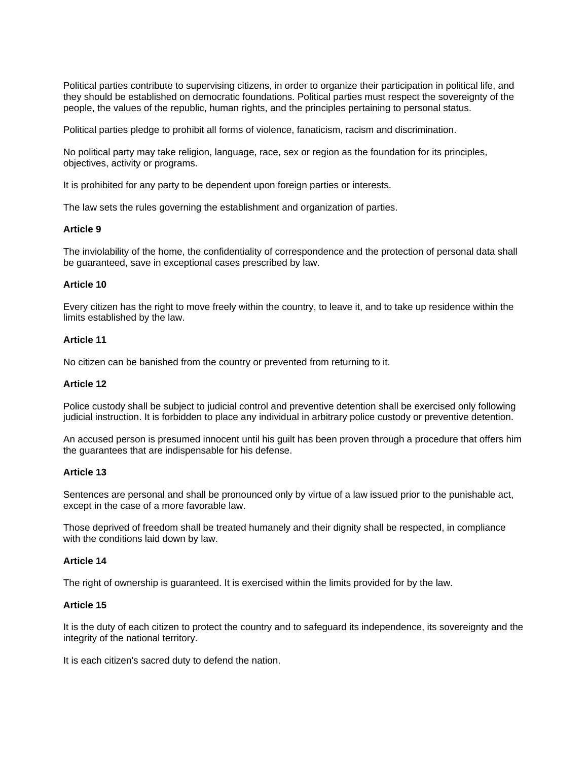Political parties contribute to supervising citizens, in order to organize their participation in political life, and they should be established on democratic foundations. Political parties must respect the sovereignty of the people, the values of the republic, human rights, and the principles pertaining to personal status.

Political parties pledge to prohibit all forms of violence, fanaticism, racism and discrimination.

No political party may take religion, language, race, sex or region as the foundation for its principles, objectives, activity or programs.

It is prohibited for any party to be dependent upon foreign parties or interests.

The law sets the rules governing the establishment and organization of parties.

#### **Article 9**

The inviolability of the home, the confidentiality of correspondence and the protection of personal data shall be guaranteed, save in exceptional cases prescribed by law.

#### **Article 10**

Every citizen has the right to move freely within the country, to leave it, and to take up residence within the limits established by the law.

#### **Article 11**

No citizen can be banished from the country or prevented from returning to it.

### **Article 12**

Police custody shall be subject to judicial control and preventive detention shall be exercised only following judicial instruction. It is forbidden to place any individual in arbitrary police custody or preventive detention.

An accused person is presumed innocent until his guilt has been proven through a procedure that offers him the guarantees that are indispensable for his defense.

## **Article 13**

Sentences are personal and shall be pronounced only by virtue of a law issued prior to the punishable act, except in the case of a more favorable law.

Those deprived of freedom shall be treated humanely and their dignity shall be respected, in compliance with the conditions laid down by law.

#### **Article 14**

The right of ownership is guaranteed. It is exercised within the limits provided for by the law.

## **Article 15**

It is the duty of each citizen to protect the country and to safeguard its independence, its sovereignty and the integrity of the national territory.

It is each citizen's sacred duty to defend the nation.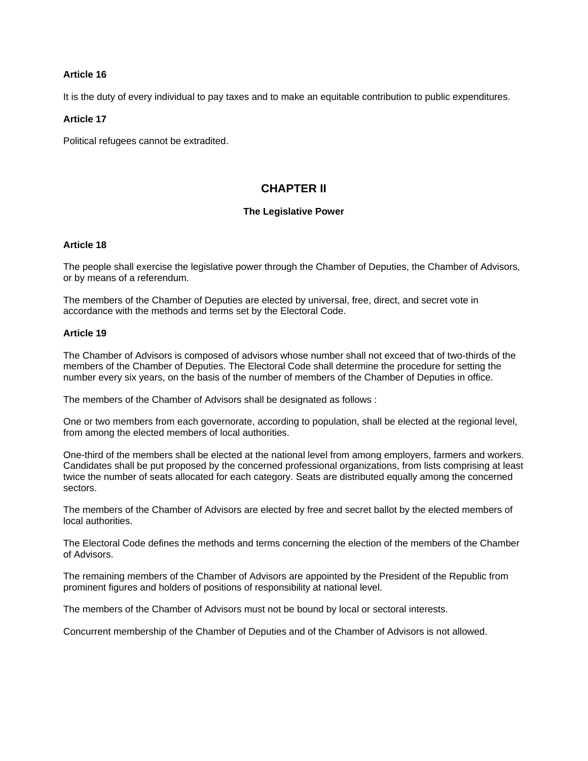It is the duty of every individual to pay taxes and to make an equitable contribution to public expenditures.

## **Article 17**

Political refugees cannot be extradited.

# **CHAPTER II**

## **The Legislative Power**

### **Article 18**

The people shall exercise the legislative power through the Chamber of Deputies, the Chamber of Advisors, or by means of a referendum.

The members of the Chamber of Deputies are elected by universal, free, direct, and secret vote in accordance with the methods and terms set by the Electoral Code.

## **Article 19**

The Chamber of Advisors is composed of advisors whose number shall not exceed that of two-thirds of the members of the Chamber of Deputies. The Electoral Code shall determine the procedure for setting the number every six years, on the basis of the number of members of the Chamber of Deputies in office.

The members of the Chamber of Advisors shall be designated as follows :

One or two members from each governorate, according to population, shall be elected at the regional level, from among the elected members of local authorities.

One-third of the members shall be elected at the national level from among employers, farmers and workers. Candidates shall be put proposed by the concerned professional organizations, from lists comprising at least twice the number of seats allocated for each category. Seats are distributed equally among the concerned sectors.

The members of the Chamber of Advisors are elected by free and secret ballot by the elected members of local authorities.

The Electoral Code defines the methods and terms concerning the election of the members of the Chamber of Advisors.

The remaining members of the Chamber of Advisors are appointed by the President of the Republic from prominent figures and holders of positions of responsibility at national level.

The members of the Chamber of Advisors must not be bound by local or sectoral interests.

Concurrent membership of the Chamber of Deputies and of the Chamber of Advisors is not allowed.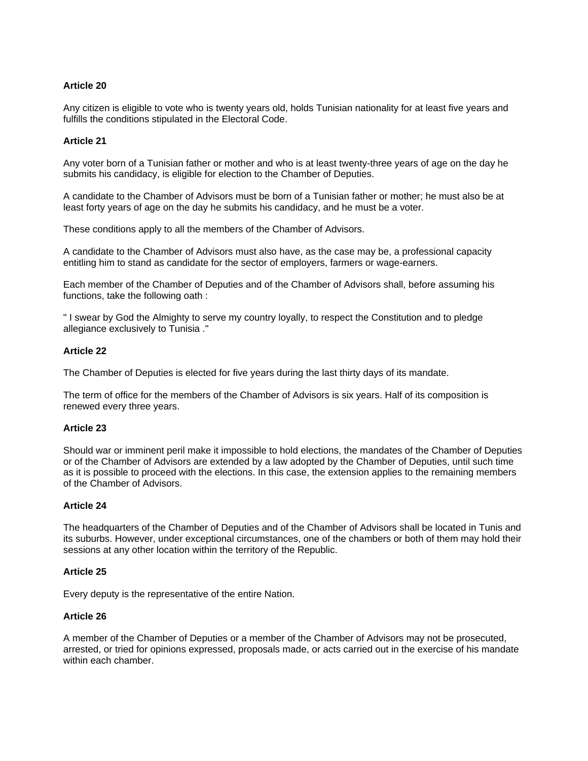Any citizen is eligible to vote who is twenty years old, holds Tunisian nationality for at least five years and fulfills the conditions stipulated in the Electoral Code.

## **Article 21**

Any voter born of a Tunisian father or mother and who is at least twenty-three years of age on the day he submits his candidacy, is eligible for election to the Chamber of Deputies.

A candidate to the Chamber of Advisors must be born of a Tunisian father or mother; he must also be at least forty years of age on the day he submits his candidacy, and he must be a voter.

These conditions apply to all the members of the Chamber of Advisors.

A candidate to the Chamber of Advisors must also have, as the case may be, a professional capacity entitling him to stand as candidate for the sector of employers, farmers or wage-earners.

Each member of the Chamber of Deputies and of the Chamber of Advisors shall, before assuming his functions, take the following oath :

" I swear by God the Almighty to serve my country loyally, to respect the Constitution and to pledge allegiance exclusively to Tunisia ."

## **Article 22**

The Chamber of Deputies is elected for five years during the last thirty days of its mandate.

The term of office for the members of the Chamber of Advisors is six years. Half of its composition is renewed every three years.

## **Article 23**

Should war or imminent peril make it impossible to hold elections, the mandates of the Chamber of Deputies or of the Chamber of Advisors are extended by a law adopted by the Chamber of Deputies, until such time as it is possible to proceed with the elections. In this case, the extension applies to the remaining members of the Chamber of Advisors.

## **Article 24**

The headquarters of the Chamber of Deputies and of the Chamber of Advisors shall be located in Tunis and its suburbs. However, under exceptional circumstances, one of the chambers or both of them may hold their sessions at any other location within the territory of the Republic.

## **Article 25**

Every deputy is the representative of the entire Nation.

## **Article 26**

A member of the Chamber of Deputies or a member of the Chamber of Advisors may not be prosecuted, arrested, or tried for opinions expressed, proposals made, or acts carried out in the exercise of his mandate within each chamber.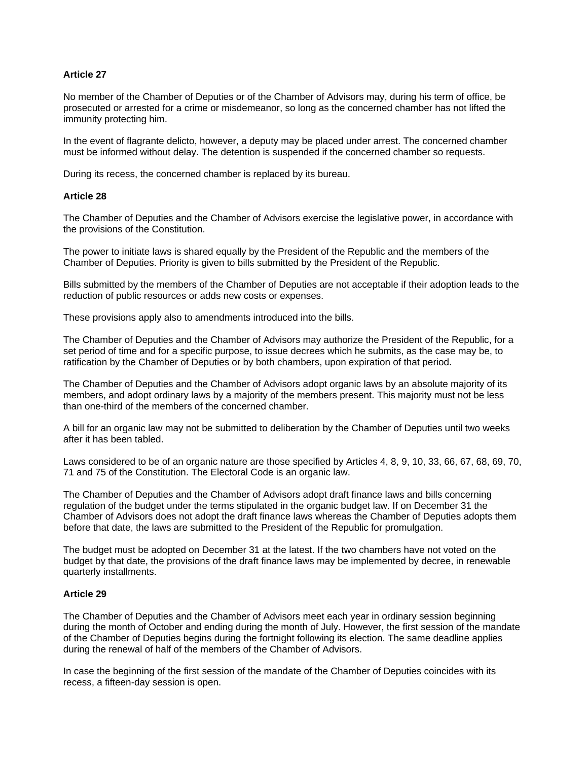No member of the Chamber of Deputies or of the Chamber of Advisors may, during his term of office, be prosecuted or arrested for a crime or misdemeanor, so long as the concerned chamber has not lifted the immunity protecting him.

In the event of flagrante delicto, however, a deputy may be placed under arrest. The concerned chamber must be informed without delay. The detention is suspended if the concerned chamber so requests.

During its recess, the concerned chamber is replaced by its bureau.

## **Article 28**

The Chamber of Deputies and the Chamber of Advisors exercise the legislative power, in accordance with the provisions of the Constitution.

The power to initiate laws is shared equally by the President of the Republic and the members of the Chamber of Deputies. Priority is given to bills submitted by the President of the Republic.

Bills submitted by the members of the Chamber of Deputies are not acceptable if their adoption leads to the reduction of public resources or adds new costs or expenses.

These provisions apply also to amendments introduced into the bills.

The Chamber of Deputies and the Chamber of Advisors may authorize the President of the Republic, for a set period of time and for a specific purpose, to issue decrees which he submits, as the case may be, to ratification by the Chamber of Deputies or by both chambers, upon expiration of that period.

The Chamber of Deputies and the Chamber of Advisors adopt organic laws by an absolute majority of its members, and adopt ordinary laws by a majority of the members present. This majority must not be less than one-third of the members of the concerned chamber.

A bill for an organic law may not be submitted to deliberation by the Chamber of Deputies until two weeks after it has been tabled.

Laws considered to be of an organic nature are those specified by Articles 4, 8, 9, 10, 33, 66, 67, 68, 69, 70, 71 and 75 of the Constitution. The Electoral Code is an organic law.

The Chamber of Deputies and the Chamber of Advisors adopt draft finance laws and bills concerning regulation of the budget under the terms stipulated in the organic budget law. If on December 31 the Chamber of Advisors does not adopt the draft finance laws whereas the Chamber of Deputies adopts them before that date, the laws are submitted to the President of the Republic for promulgation.

The budget must be adopted on December 31 at the latest. If the two chambers have not voted on the budget by that date, the provisions of the draft finance laws may be implemented by decree, in renewable quarterly installments.

## **Article 29**

The Chamber of Deputies and the Chamber of Advisors meet each year in ordinary session beginning during the month of October and ending during the month of July. However, the first session of the mandate of the Chamber of Deputies begins during the fortnight following its election. The same deadline applies during the renewal of half of the members of the Chamber of Advisors.

In case the beginning of the first session of the mandate of the Chamber of Deputies coincides with its recess, a fifteen-day session is open.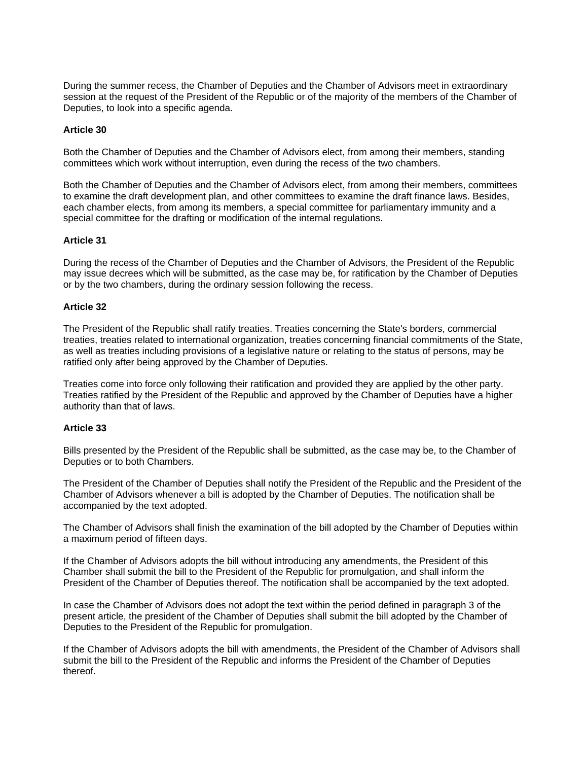During the summer recess, the Chamber of Deputies and the Chamber of Advisors meet in extraordinary session at the request of the President of the Republic or of the majority of the members of the Chamber of Deputies, to look into a specific agenda.

## **Article 30**

Both the Chamber of Deputies and the Chamber of Advisors elect, from among their members, standing committees which work without interruption, even during the recess of the two chambers.

Both the Chamber of Deputies and the Chamber of Advisors elect, from among their members, committees to examine the draft development plan, and other committees to examine the draft finance laws. Besides, each chamber elects, from among its members, a special committee for parliamentary immunity and a special committee for the drafting or modification of the internal regulations.

## **Article 31**

During the recess of the Chamber of Deputies and the Chamber of Advisors, the President of the Republic may issue decrees which will be submitted, as the case may be, for ratification by the Chamber of Deputies or by the two chambers, during the ordinary session following the recess.

## **Article 32**

The President of the Republic shall ratify treaties. Treaties concerning the State's borders, commercial treaties, treaties related to international organization, treaties concerning financial commitments of the State, as well as treaties including provisions of a legislative nature or relating to the status of persons, may be ratified only after being approved by the Chamber of Deputies.

Treaties come into force only following their ratification and provided they are applied by the other party. Treaties ratified by the President of the Republic and approved by the Chamber of Deputies have a higher authority than that of laws.

## **Article 33**

Bills presented by the President of the Republic shall be submitted, as the case may be, to the Chamber of Deputies or to both Chambers.

The President of the Chamber of Deputies shall notify the President of the Republic and the President of the Chamber of Advisors whenever a bill is adopted by the Chamber of Deputies. The notification shall be accompanied by the text adopted.

The Chamber of Advisors shall finish the examination of the bill adopted by the Chamber of Deputies within a maximum period of fifteen days.

If the Chamber of Advisors adopts the bill without introducing any amendments, the President of this Chamber shall submit the bill to the President of the Republic for promulgation, and shall inform the President of the Chamber of Deputies thereof. The notification shall be accompanied by the text adopted.

In case the Chamber of Advisors does not adopt the text within the period defined in paragraph 3 of the present article, the president of the Chamber of Deputies shall submit the bill adopted by the Chamber of Deputies to the President of the Republic for promulgation.

If the Chamber of Advisors adopts the bill with amendments, the President of the Chamber of Advisors shall submit the bill to the President of the Republic and informs the President of the Chamber of Deputies thereof.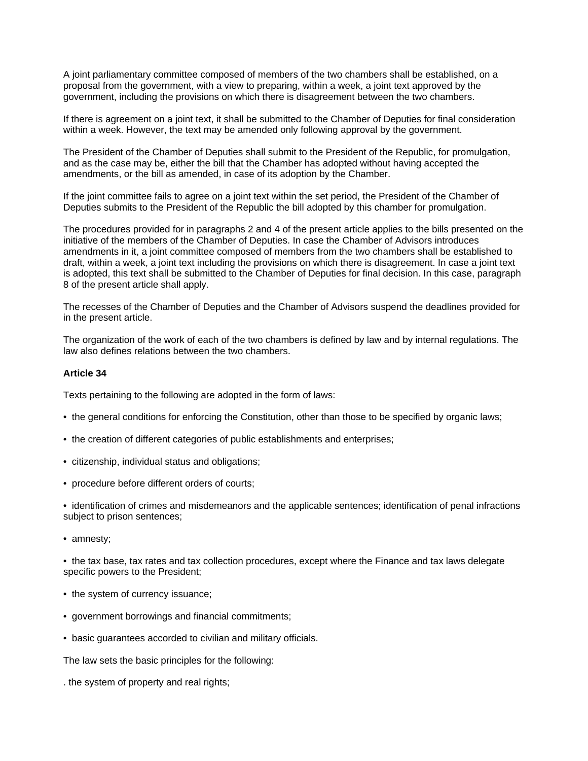A joint parliamentary committee composed of members of the two chambers shall be established, on a proposal from the government, with a view to preparing, within a week, a joint text approved by the government, including the provisions on which there is disagreement between the two chambers.

If there is agreement on a joint text, it shall be submitted to the Chamber of Deputies for final consideration within a week. However, the text may be amended only following approval by the government.

The President of the Chamber of Deputies shall submit to the President of the Republic, for promulgation, and as the case may be, either the bill that the Chamber has adopted without having accepted the amendments, or the bill as amended, in case of its adoption by the Chamber.

If the joint committee fails to agree on a joint text within the set period, the President of the Chamber of Deputies submits to the President of the Republic the bill adopted by this chamber for promulgation.

The procedures provided for in paragraphs 2 and 4 of the present article applies to the bills presented on the initiative of the members of the Chamber of Deputies. In case the Chamber of Advisors introduces amendments in it, a joint committee composed of members from the two chambers shall be established to draft, within a week, a joint text including the provisions on which there is disagreement. In case a joint text is adopted, this text shall be submitted to the Chamber of Deputies for final decision. In this case, paragraph 8 of the present article shall apply.

The recesses of the Chamber of Deputies and the Chamber of Advisors suspend the deadlines provided for in the present article.

The organization of the work of each of the two chambers is defined by law and by internal regulations. The law also defines relations between the two chambers.

## **Article 34**

Texts pertaining to the following are adopted in the form of laws:

- the general conditions for enforcing the Constitution, other than those to be specified by organic laws;
- the creation of different categories of public establishments and enterprises;
- citizenship, individual status and obligations;
- procedure before different orders of courts;

• identification of crimes and misdemeanors and the applicable sentences; identification of penal infractions subject to prison sentences;

• amnesty;

• the tax base, tax rates and tax collection procedures, except where the Finance and tax laws delegate specific powers to the President;

- the system of currency issuance;
- government borrowings and financial commitments;
- basic guarantees accorded to civilian and military officials.

The law sets the basic principles for the following:

. the system of property and real rights;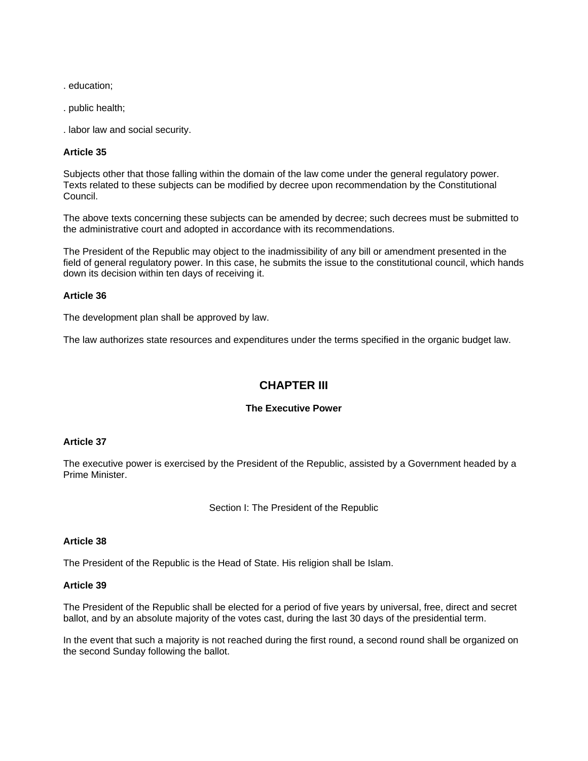. education;

. public health;

. labor law and social security.

## **Article 35**

Subjects other that those falling within the domain of the law come under the general regulatory power. Texts related to these subjects can be modified by decree upon recommendation by the Constitutional Council.

The above texts concerning these subjects can be amended by decree; such decrees must be submitted to the administrative court and adopted in accordance with its recommendations.

The President of the Republic may object to the inadmissibility of any bill or amendment presented in the field of general regulatory power. In this case, he submits the issue to the constitutional council, which hands down its decision within ten days of receiving it.

## **Article 36**

The development plan shall be approved by law.

The law authorizes state resources and expenditures under the terms specified in the organic budget law.

# **CHAPTER III**

## **The Executive Power**

## **Article 37**

The executive power is exercised by the President of the Republic, assisted by a Government headed by a Prime Minister.

Section I: The President of the Republic

## **Article 38**

The President of the Republic is the Head of State. His religion shall be Islam.

## **Article 39**

The President of the Republic shall be elected for a period of five years by universal, free, direct and secret ballot, and by an absolute majority of the votes cast, during the last 30 days of the presidential term.

In the event that such a majority is not reached during the first round, a second round shall be organized on the second Sunday following the ballot.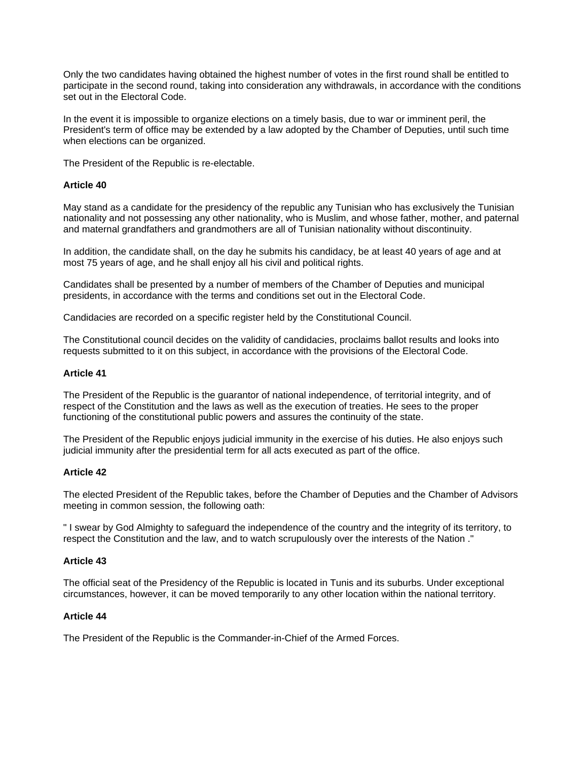Only the two candidates having obtained the highest number of votes in the first round shall be entitled to participate in the second round, taking into consideration any withdrawals, in accordance with the conditions set out in the Electoral Code.

In the event it is impossible to organize elections on a timely basis, due to war or imminent peril, the President's term of office may be extended by a law adopted by the Chamber of Deputies, until such time when elections can be organized.

The President of the Republic is re-electable.

## **Article 40**

May stand as a candidate for the presidency of the republic any Tunisian who has exclusively the Tunisian nationality and not possessing any other nationality, who is Muslim, and whose father, mother, and paternal and maternal grandfathers and grandmothers are all of Tunisian nationality without discontinuity.

In addition, the candidate shall, on the day he submits his candidacy, be at least 40 years of age and at most 75 years of age, and he shall enjoy all his civil and political rights.

Candidates shall be presented by a number of members of the Chamber of Deputies and municipal presidents, in accordance with the terms and conditions set out in the Electoral Code.

Candidacies are recorded on a specific register held by the Constitutional Council.

The Constitutional council decides on the validity of candidacies, proclaims ballot results and looks into requests submitted to it on this subject, in accordance with the provisions of the Electoral Code.

## **Article 41**

The President of the Republic is the guarantor of national independence, of territorial integrity, and of respect of the Constitution and the laws as well as the execution of treaties. He sees to the proper functioning of the constitutional public powers and assures the continuity of the state.

The President of the Republic enjoys judicial immunity in the exercise of his duties. He also enjoys such judicial immunity after the presidential term for all acts executed as part of the office.

## **Article 42**

The elected President of the Republic takes, before the Chamber of Deputies and the Chamber of Advisors meeting in common session, the following oath:

" I swear by God Almighty to safeguard the independence of the country and the integrity of its territory, to respect the Constitution and the law, and to watch scrupulously over the interests of the Nation ."

## **Article 43**

The official seat of the Presidency of the Republic is located in Tunis and its suburbs. Under exceptional circumstances, however, it can be moved temporarily to any other location within the national territory.

## **Article 44**

The President of the Republic is the Commander-in-Chief of the Armed Forces.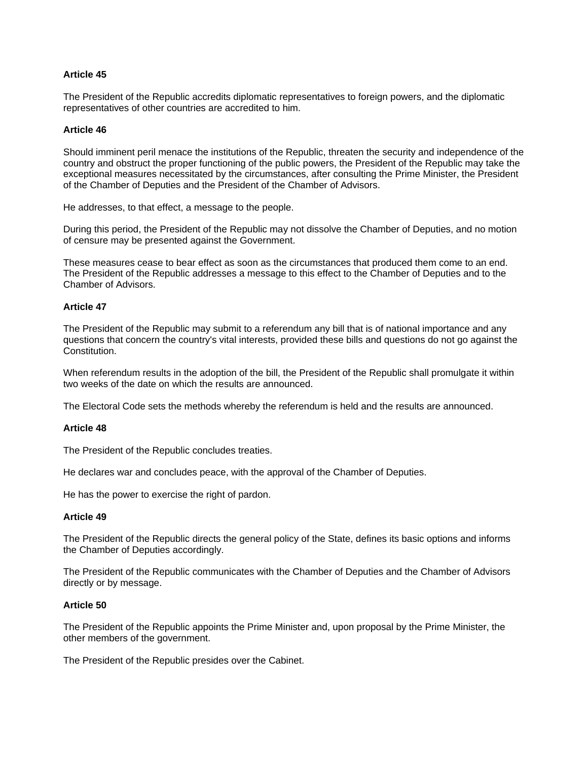The President of the Republic accredits diplomatic representatives to foreign powers, and the diplomatic representatives of other countries are accredited to him.

### **Article 46**

Should imminent peril menace the institutions of the Republic, threaten the security and independence of the country and obstruct the proper functioning of the public powers, the President of the Republic may take the exceptional measures necessitated by the circumstances, after consulting the Prime Minister, the President of the Chamber of Deputies and the President of the Chamber of Advisors.

He addresses, to that effect, a message to the people.

During this period, the President of the Republic may not dissolve the Chamber of Deputies, and no motion of censure may be presented against the Government.

These measures cease to bear effect as soon as the circumstances that produced them come to an end. The President of the Republic addresses a message to this effect to the Chamber of Deputies and to the Chamber of Advisors.

#### **Article 47**

The President of the Republic may submit to a referendum any bill that is of national importance and any questions that concern the country's vital interests, provided these bills and questions do not go against the Constitution.

When referendum results in the adoption of the bill, the President of the Republic shall promulgate it within two weeks of the date on which the results are announced.

The Electoral Code sets the methods whereby the referendum is held and the results are announced.

#### **Article 48**

The President of the Republic concludes treaties.

He declares war and concludes peace, with the approval of the Chamber of Deputies.

He has the power to exercise the right of pardon.

#### **Article 49**

The President of the Republic directs the general policy of the State, defines its basic options and informs the Chamber of Deputies accordingly.

The President of the Republic communicates with the Chamber of Deputies and the Chamber of Advisors directly or by message.

#### **Article 50**

The President of the Republic appoints the Prime Minister and, upon proposal by the Prime Minister, the other members of the government.

The President of the Republic presides over the Cabinet.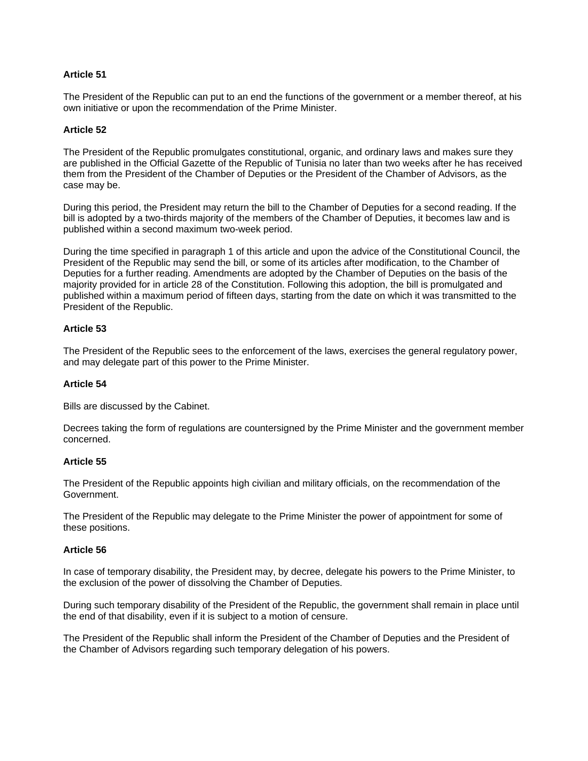The President of the Republic can put to an end the functions of the government or a member thereof, at his own initiative or upon the recommendation of the Prime Minister.

## **Article 52**

The President of the Republic promulgates constitutional, organic, and ordinary laws and makes sure they are published in the Official Gazette of the Republic of Tunisia no later than two weeks after he has received them from the President of the Chamber of Deputies or the President of the Chamber of Advisors, as the case may be.

During this period, the President may return the bill to the Chamber of Deputies for a second reading. If the bill is adopted by a two-thirds majority of the members of the Chamber of Deputies, it becomes law and is published within a second maximum two-week period.

During the time specified in paragraph 1 of this article and upon the advice of the Constitutional Council, the President of the Republic may send the bill, or some of its articles after modification, to the Chamber of Deputies for a further reading. Amendments are adopted by the Chamber of Deputies on the basis of the majority provided for in article 28 of the Constitution. Following this adoption, the bill is promulgated and published within a maximum period of fifteen days, starting from the date on which it was transmitted to the President of the Republic.

## **Article 53**

The President of the Republic sees to the enforcement of the laws, exercises the general regulatory power, and may delegate part of this power to the Prime Minister.

## **Article 54**

Bills are discussed by the Cabinet.

Decrees taking the form of regulations are countersigned by the Prime Minister and the government member concerned.

## **Article 55**

The President of the Republic appoints high civilian and military officials, on the recommendation of the Government.

The President of the Republic may delegate to the Prime Minister the power of appointment for some of these positions.

## **Article 56**

In case of temporary disability, the President may, by decree, delegate his powers to the Prime Minister, to the exclusion of the power of dissolving the Chamber of Deputies.

During such temporary disability of the President of the Republic, the government shall remain in place until the end of that disability, even if it is subject to a motion of censure.

The President of the Republic shall inform the President of the Chamber of Deputies and the President of the Chamber of Advisors regarding such temporary delegation of his powers.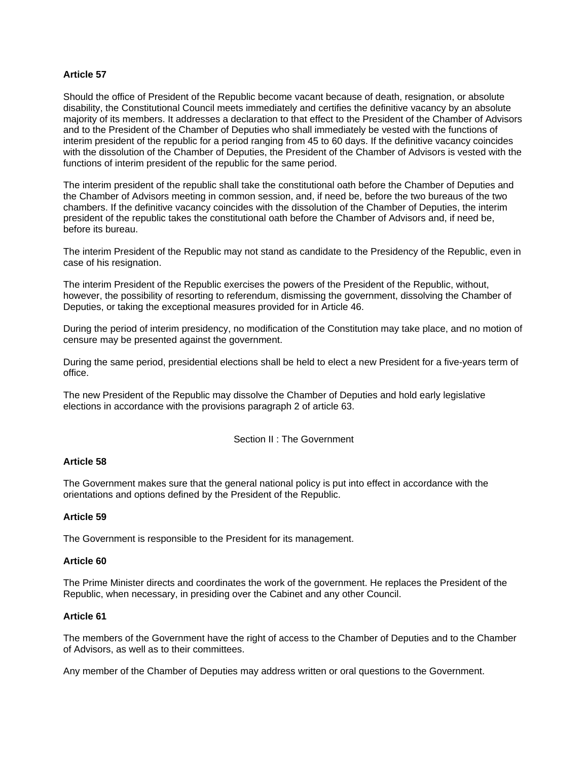Should the office of President of the Republic become vacant because of death, resignation, or absolute disability, the Constitutional Council meets immediately and certifies the definitive vacancy by an absolute majority of its members. It addresses a declaration to that effect to the President of the Chamber of Advisors and to the President of the Chamber of Deputies who shall immediately be vested with the functions of interim president of the republic for a period ranging from 45 to 60 days. If the definitive vacancy coincides with the dissolution of the Chamber of Deputies, the President of the Chamber of Advisors is vested with the functions of interim president of the republic for the same period.

The interim president of the republic shall take the constitutional oath before the Chamber of Deputies and the Chamber of Advisors meeting in common session, and, if need be, before the two bureaus of the two chambers. If the definitive vacancy coincides with the dissolution of the Chamber of Deputies, the interim president of the republic takes the constitutional oath before the Chamber of Advisors and, if need be, before its bureau.

The interim President of the Republic may not stand as candidate to the Presidency of the Republic, even in case of his resignation.

The interim President of the Republic exercises the powers of the President of the Republic, without, however, the possibility of resorting to referendum, dismissing the government, dissolving the Chamber of Deputies, or taking the exceptional measures provided for in Article 46.

During the period of interim presidency, no modification of the Constitution may take place, and no motion of censure may be presented against the government.

During the same period, presidential elections shall be held to elect a new President for a five-years term of office.

The new President of the Republic may dissolve the Chamber of Deputies and hold early legislative elections in accordance with the provisions paragraph 2 of article 63.

## Section II : The Government

#### **Article 58**

The Government makes sure that the general national policy is put into effect in accordance with the orientations and options defined by the President of the Republic.

#### **Article 59**

The Government is responsible to the President for its management.

#### **Article 60**

The Prime Minister directs and coordinates the work of the government. He replaces the President of the Republic, when necessary, in presiding over the Cabinet and any other Council.

#### **Article 61**

The members of the Government have the right of access to the Chamber of Deputies and to the Chamber of Advisors, as well as to their committees.

Any member of the Chamber of Deputies may address written or oral questions to the Government.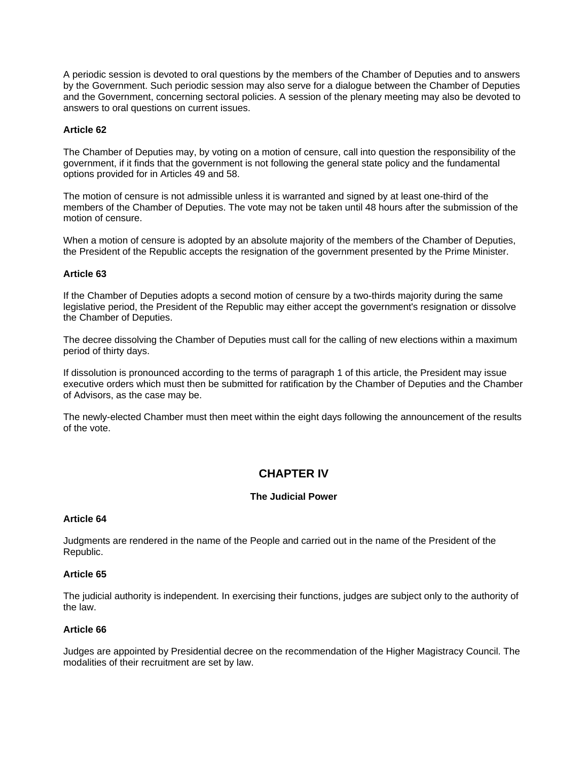A periodic session is devoted to oral questions by the members of the Chamber of Deputies and to answers by the Government. Such periodic session may also serve for a dialogue between the Chamber of Deputies and the Government, concerning sectoral policies. A session of the plenary meeting may also be devoted to answers to oral questions on current issues.

## **Article 62**

The Chamber of Deputies may, by voting on a motion of censure, call into question the responsibility of the government, if it finds that the government is not following the general state policy and the fundamental options provided for in Articles 49 and 58.

The motion of censure is not admissible unless it is warranted and signed by at least one-third of the members of the Chamber of Deputies. The vote may not be taken until 48 hours after the submission of the motion of censure.

When a motion of censure is adopted by an absolute majority of the members of the Chamber of Deputies, the President of the Republic accepts the resignation of the government presented by the Prime Minister.

## **Article 63**

If the Chamber of Deputies adopts a second motion of censure by a two-thirds majority during the same legislative period, the President of the Republic may either accept the government's resignation or dissolve the Chamber of Deputies.

The decree dissolving the Chamber of Deputies must call for the calling of new elections within a maximum period of thirty days.

If dissolution is pronounced according to the terms of paragraph 1 of this article, the President may issue executive orders which must then be submitted for ratification by the Chamber of Deputies and the Chamber of Advisors, as the case may be.

The newly-elected Chamber must then meet within the eight days following the announcement of the results of the vote.

## **CHAPTER IV**

## **The Judicial Power**

## **Article 64**

Judgments are rendered in the name of the People and carried out in the name of the President of the Republic.

## **Article 65**

The judicial authority is independent. In exercising their functions, judges are subject only to the authority of the law.

## **Article 66**

Judges are appointed by Presidential decree on the recommendation of the Higher Magistracy Council. The modalities of their recruitment are set by law.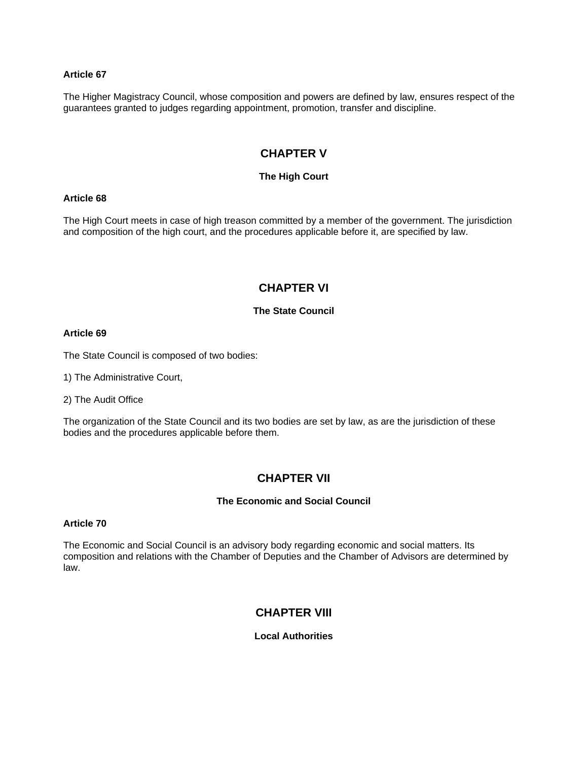The Higher Magistracy Council, whose composition and powers are defined by law, ensures respect of the guarantees granted to judges regarding appointment, promotion, transfer and discipline.

# **CHAPTER V**

## **The High Court**

## **Article 68**

The High Court meets in case of high treason committed by a member of the government. The jurisdiction and composition of the high court, and the procedures applicable before it, are specified by law.

# **CHAPTER VI**

## **The State Council**

## **Article 69**

The State Council is composed of two bodies:

1) The Administrative Court,

2) The Audit Office

The organization of the State Council and its two bodies are set by law, as are the jurisdiction of these bodies and the procedures applicable before them.

## **CHAPTER VII**

## **The Economic and Social Council**

## **Article 70**

The Economic and Social Council is an advisory body regarding economic and social matters. Its composition and relations with the Chamber of Deputies and the Chamber of Advisors are determined by law.

# **CHAPTER VIII**

## **Local Authorities**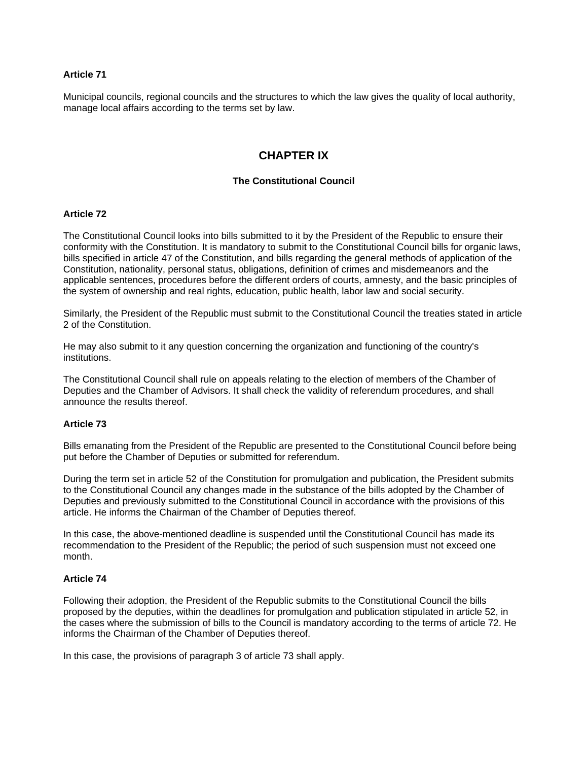Municipal councils, regional councils and the structures to which the law gives the quality of local authority, manage local affairs according to the terms set by law.

# **CHAPTER IX**

## **The Constitutional Council**

## **Article 72**

The Constitutional Council looks into bills submitted to it by the President of the Republic to ensure their conformity with the Constitution. It is mandatory to submit to the Constitutional Council bills for organic laws, bills specified in article 47 of the Constitution, and bills regarding the general methods of application of the Constitution, nationality, personal status, obligations, definition of crimes and misdemeanors and the applicable sentences, procedures before the different orders of courts, amnesty, and the basic principles of the system of ownership and real rights, education, public health, labor law and social security.

Similarly, the President of the Republic must submit to the Constitutional Council the treaties stated in article 2 of the Constitution.

He may also submit to it any question concerning the organization and functioning of the country's institutions.

The Constitutional Council shall rule on appeals relating to the election of members of the Chamber of Deputies and the Chamber of Advisors. It shall check the validity of referendum procedures, and shall announce the results thereof.

## **Article 73**

Bills emanating from the President of the Republic are presented to the Constitutional Council before being put before the Chamber of Deputies or submitted for referendum.

During the term set in article 52 of the Constitution for promulgation and publication, the President submits to the Constitutional Council any changes made in the substance of the bills adopted by the Chamber of Deputies and previously submitted to the Constitutional Council in accordance with the provisions of this article. He informs the Chairman of the Chamber of Deputies thereof.

In this case, the above-mentioned deadline is suspended until the Constitutional Council has made its recommendation to the President of the Republic; the period of such suspension must not exceed one month.

## **Article 74**

Following their adoption, the President of the Republic submits to the Constitutional Council the bills proposed by the deputies, within the deadlines for promulgation and publication stipulated in article 52, in the cases where the submission of bills to the Council is mandatory according to the terms of article 72. He informs the Chairman of the Chamber of Deputies thereof.

In this case, the provisions of paragraph 3 of article 73 shall apply.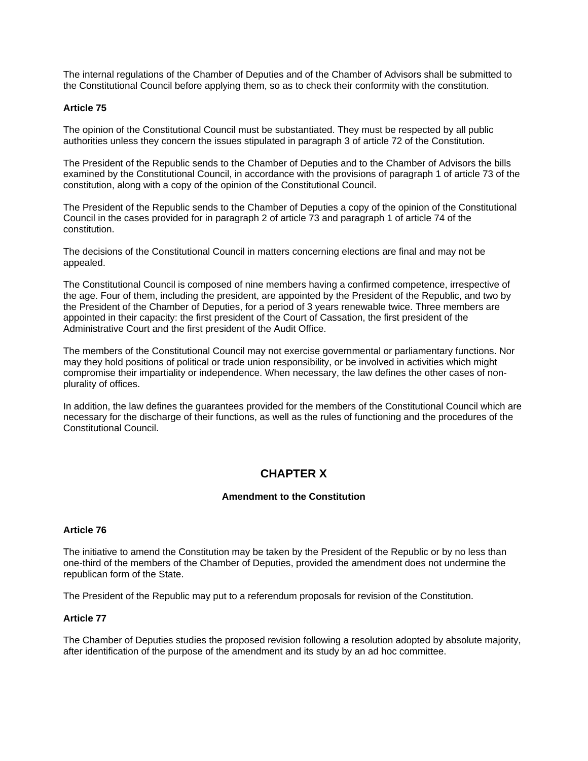The internal regulations of the Chamber of Deputies and of the Chamber of Advisors shall be submitted to the Constitutional Council before applying them, so as to check their conformity with the constitution.

## **Article 75**

The opinion of the Constitutional Council must be substantiated. They must be respected by all public authorities unless they concern the issues stipulated in paragraph 3 of article 72 of the Constitution.

The President of the Republic sends to the Chamber of Deputies and to the Chamber of Advisors the bills examined by the Constitutional Council, in accordance with the provisions of paragraph 1 of article 73 of the constitution, along with a copy of the opinion of the Constitutional Council.

The President of the Republic sends to the Chamber of Deputies a copy of the opinion of the Constitutional Council in the cases provided for in paragraph 2 of article 73 and paragraph 1 of article 74 of the constitution.

The decisions of the Constitutional Council in matters concerning elections are final and may not be appealed.

The Constitutional Council is composed of nine members having a confirmed competence, irrespective of the age. Four of them, including the president, are appointed by the President of the Republic, and two by the President of the Chamber of Deputies, for a period of 3 years renewable twice. Three members are appointed in their capacity: the first president of the Court of Cassation, the first president of the Administrative Court and the first president of the Audit Office.

The members of the Constitutional Council may not exercise governmental or parliamentary functions. Nor may they hold positions of political or trade union responsibility, or be involved in activities which might compromise their impartiality or independence. When necessary, the law defines the other cases of nonplurality of offices.

In addition, the law defines the guarantees provided for the members of the Constitutional Council which are necessary for the discharge of their functions, as well as the rules of functioning and the procedures of the Constitutional Council.

# **CHAPTER X**

## **Amendment to the Constitution**

## **Article 76**

The initiative to amend the Constitution may be taken by the President of the Republic or by no less than one-third of the members of the Chamber of Deputies, provided the amendment does not undermine the republican form of the State.

The President of the Republic may put to a referendum proposals for revision of the Constitution.

## **Article 77**

The Chamber of Deputies studies the proposed revision following a resolution adopted by absolute majority, after identification of the purpose of the amendment and its study by an ad hoc committee.